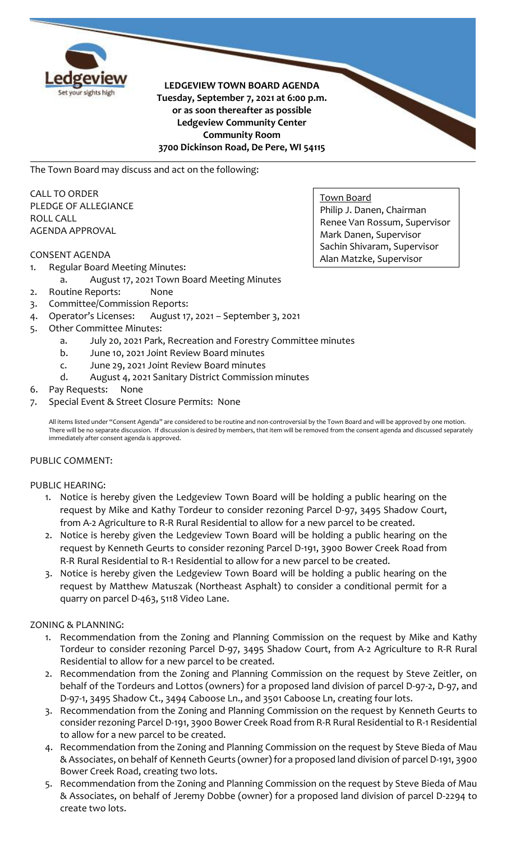

**LEDGEVIEW TOWN BOARD AGENDA Tuesday, September 7, 2021 at 6:00 p.m. or as soon thereafter as possible Ledgeview Community Center Community Room 3700 Dickinson Road, De Pere, WI 54115**

The Town Board may discuss and act on the following:

CALL TO ORDER PLEDGE OF ALLEGIANCE ROLL CALL AGENDA APPROVAL

## CONSENT AGENDA

- 1. Regular Board Meeting Minutes:
	- August 17, 2021 Town Board Meeting Minutes
- 2. Routine Reports: None
- 3. Committee/Commission Reports:
- 4. Operator's Licenses: August 17, 2021 September 3, 2021
- 5. Other Committee Minutes:
	- a. July 20, 2021 Park, Recreation and Forestry Committee minutes
	- b. June 10, 2021 Joint Review Board minutes
	- c. June 29, 2021 Joint Review Board minutes
	- d. August 4, 2021 Sanitary District Commission minutes
- 6. Pay Requests: None
- 7. Special Event & Street Closure Permits: None

All items listed under "Consent Agenda" are considered to be routine and non-controversial by the Town Board and will be approved by one motion. There will be no separate discussion. If discussion is desired by members, that item will be removed from the consent agenda and discussed separately immediately after consent agenda is approved.

#### PUBLIC COMMENT:

#### PUBLIC HEARING:

- 1. Notice is hereby given the Ledgeview Town Board will be holding a public hearing on the request by Mike and Kathy Tordeur to consider rezoning Parcel D-97, 3495 Shadow Court, from A-2 Agriculture to R-R Rural Residential to allow for a new parcel to be created.
- 2. Notice is hereby given the Ledgeview Town Board will be holding a public hearing on the request by Kenneth Geurts to consider rezoning Parcel D-191, 3900 Bower Creek Road from R-R Rural Residential to R-1 Residential to allow for a new parcel to be created.
- 3. Notice is hereby given the Ledgeview Town Board will be holding a public hearing on the request by Matthew Matuszak (Northeast Asphalt) to consider a conditional permit for a quarry on parcel D-463, 5118 Video Lane.

#### ZONING & PLANNING:

- 1. Recommendation from the Zoning and Planning Commission on the request by Mike and Kathy Tordeur to consider rezoning Parcel D-97, 3495 Shadow Court, from A-2 Agriculture to R-R Rural Residential to allow for a new parcel to be created.
- 2. Recommendation from the Zoning and Planning Commission on the request by Steve Zeitler, on behalf of the Tordeurs and Lottos (owners) for a proposed land division of parcel D-97-2, D-97, and D-97-1, 3495 Shadow Ct., 3494 Caboose Ln., and 3501 Caboose Ln, creating four lots.
- 3. Recommendation from the Zoning and Planning Commission on the request by Kenneth Geurts to consider rezoning Parcel D-191, 3900 Bower Creek Road from R-R Rural Residential to R-1 Residential to allow for a new parcel to be created.
- 4. Recommendation from the Zoning and Planning Commission on the request by Steve Bieda of Mau & Associates, on behalf of Kenneth Geurts (owner) for a proposed land division of parcel D-191, 3900 Bower Creek Road, creating two lots.
- 5. Recommendation from the Zoning and Planning Commission on the request by Steve Bieda of Mau & Associates, on behalf of Jeremy Dobbe (owner) for a proposed land division of parcel D-2294 to create two lots.

Town Board Philip J. Danen, Chairman Renee Van Rossum, Supervisor Mark Danen, Supervisor Sachin Shivaram, Supervisor Alan Matzke, Supervisor